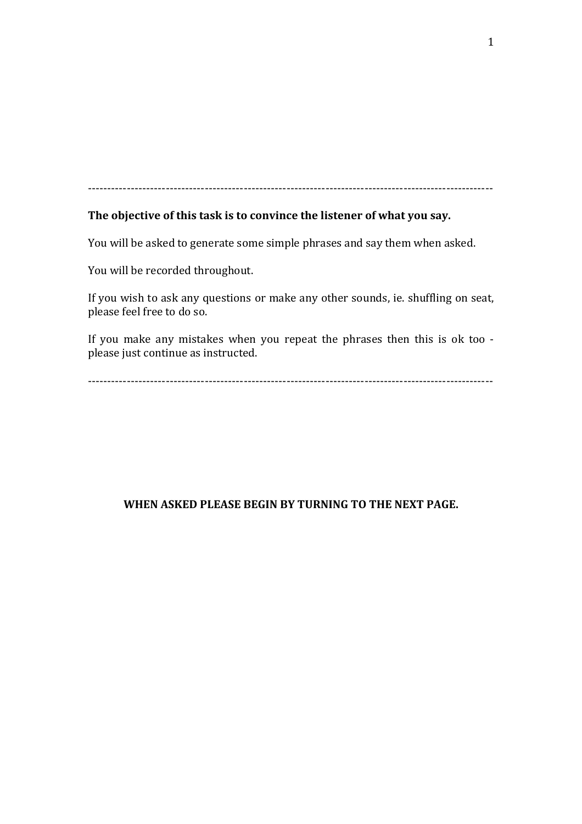## The objective of this task is to convince the listener of what you say.

You will be asked to generate some simple phrases and say them when asked.

You will be recorded throughout.

If you wish to ask any questions or make any other sounds, ie. shuffling on seat, please feel free to do so.

If you make any mistakes when you repeat the phrases then this is ok too please just continue as instructed.

# WHEN ASKED PLEASE BEGIN BY TURNING TO THE NEXT PAGE.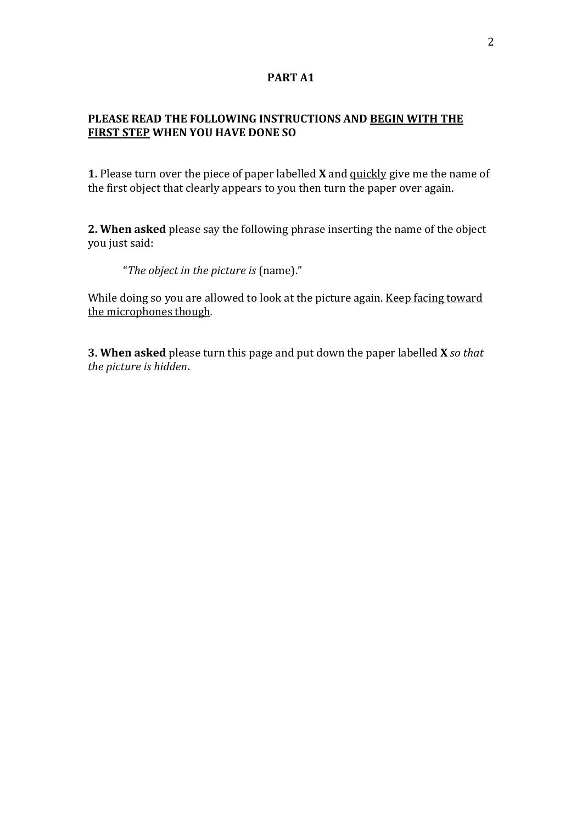### **PART A1**

#### PLEASE READ THE FOLLOWING INSTRUCTIONS AND BEGIN WITH THE **FIRST STEP WHEN YOU HAVE DONE SO**

**1.** Please turn over the piece of paper labelled **X** and <u>quickly</u> give me the name of the first object that clearly appears to you then turn the paper over again.

**2. When asked** please say the following phrase inserting the name of the object you just said:

"The object in the picture is (name)."

While doing so you are allowed to look at the picture again. Keep facing toward the microphones though.

**3. When asked** please turn this page and put down the paper labelled **X** *so that the\$picture\$is\$hidden***.**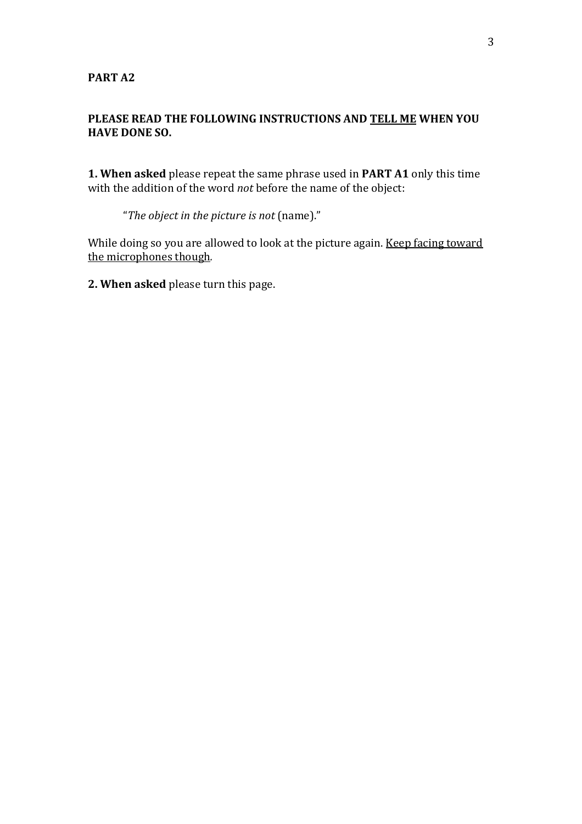# PLEASE READ THE FOLLOWING INSTRUCTIONS AND TELL ME WHEN YOU **HAVE DONE SO.**

1. When asked please repeat the same phrase used in PART A1 only this time with the addition of the word *not* before the name of the object:

"The object in the picture is not (name)."

While doing so you are allowed to look at the picture again. Keep facing toward the microphones though.

2. When asked please turn this page.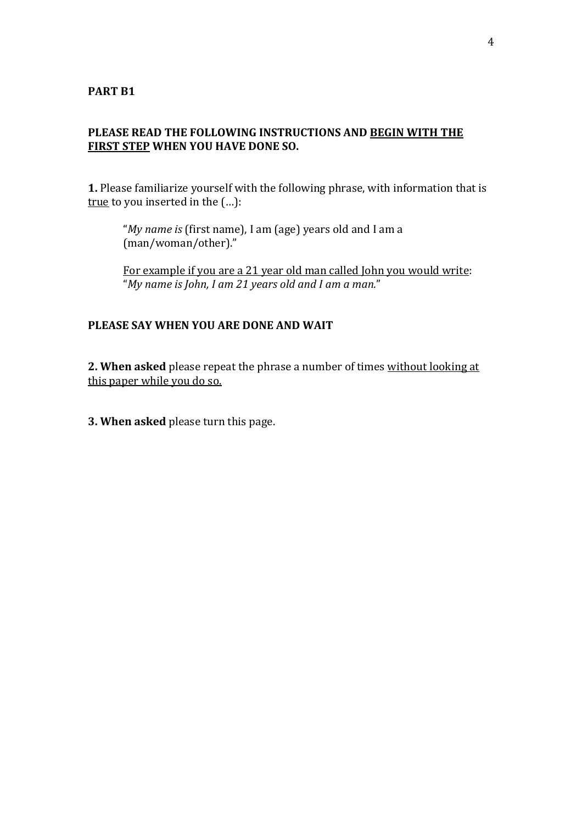### **PART B1**

#### PLEASE READ THE FOLLOWING INSTRUCTIONS AND BEGIN WITH THE **FIRST STEP WHEN YOU HAVE DONE SO.**

1. Please familiarize yourself with the following phrase, with information that is true to you inserted in the (...):

"My name is (first name), I am (age) years old and I am a (man/woman/other)."

For example if you are a 21 year old man called John you would write: "My name is John, I am 21 years old and I am a man."

#### PLEASE SAY WHEN YOU ARE DONE AND WAIT

2. When asked please repeat the phrase a number of times without looking at this paper while you do so.

3. When asked please turn this page.